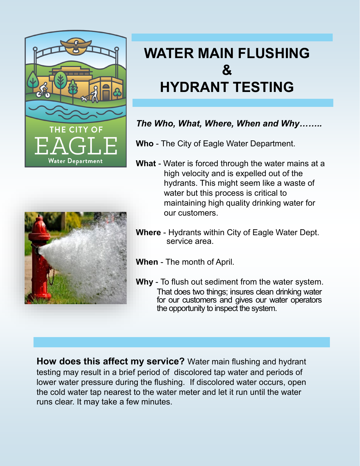

## **WATER MAIN FLUSHING & HYDRANT TESTING**

## *The Who, What, Where, When and Why……..*

**Who** - The City of Eagle Water Department.

**What** - Water is forced through the water mains at a high velocity and is expelled out of the hydrants. This might seem like a waste of water but this process is critical to maintaining high quality drinking water for our customers.



- **Where** Hydrants within City of Eagle Water Dept. service area.
- **When** The month of April.
- **Why** To flush out sediment from the water system. That does two things; insures clean drinking water for our customers and gives our water operators the opportunity to inspect the system.

**How does this affect my service?** Water main flushing and hydrant testing may result in a brief period of discolored tap water and periods of lower water pressure during the flushing. If discolored water occurs, open the cold water tap nearest to the water meter and let it run until the water runs clear. It may take a few minutes.